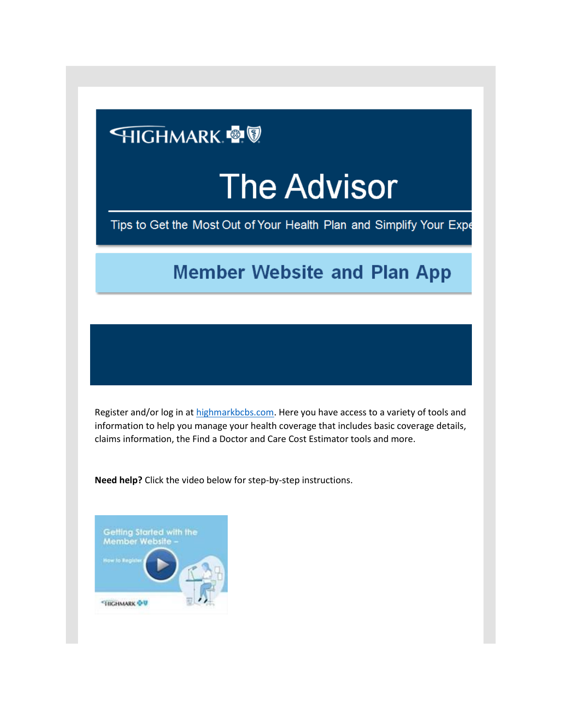## **HIGHMARK**

## **The Advisor**

Tips to Get the Most Out of Your Health Plan and Simplify Your Expe

## **Member Website and Plan App**

Register and/or log in at [highmarkbcbs.com.](http://www.highmarkbcbs.com/) Here you have access to a variety of tools and information to help you manage your health coverage that includes basic coverage details, claims information, the Find a Doctor and Care Cost Estimator tools and more.

**Need help?** Click the video below for step-by-step instructions.

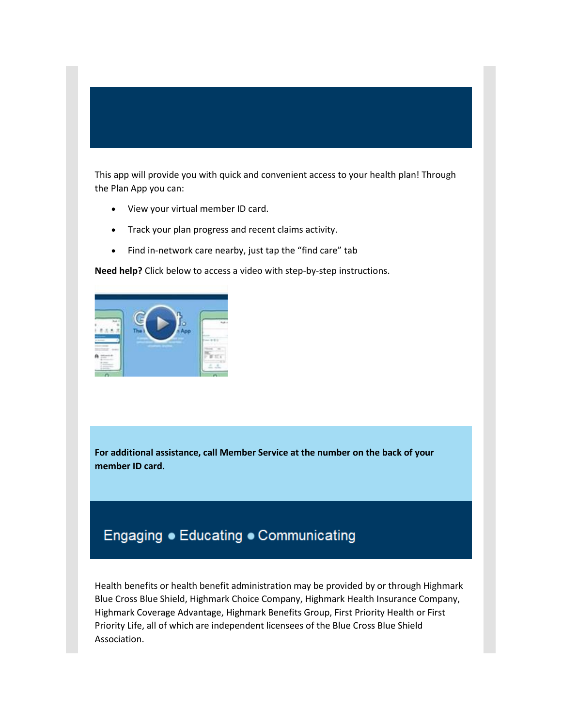This app will provide you with quick and convenient access to your health plan! Through the Plan App you can:

- View your virtual member ID card.
- Track your plan progress and recent claims activity.
- Find in-network care nearby, just tap the "find care" tab

**Need help?** Click below to access a video with step-by-step instructions.



**For additional assistance, call Member Service at the number on the back of your member ID card.**

## Engaging . Educating . Communicating

Health benefits or health benefit administration may be provided by or through Highmark Blue Cross Blue Shield, Highmark Choice Company, Highmark Health Insurance Company, Highmark Coverage Advantage, Highmark Benefits Group, First Priority Health or First Priority Life, all of which are independent licensees of the Blue Cross Blue Shield Association.